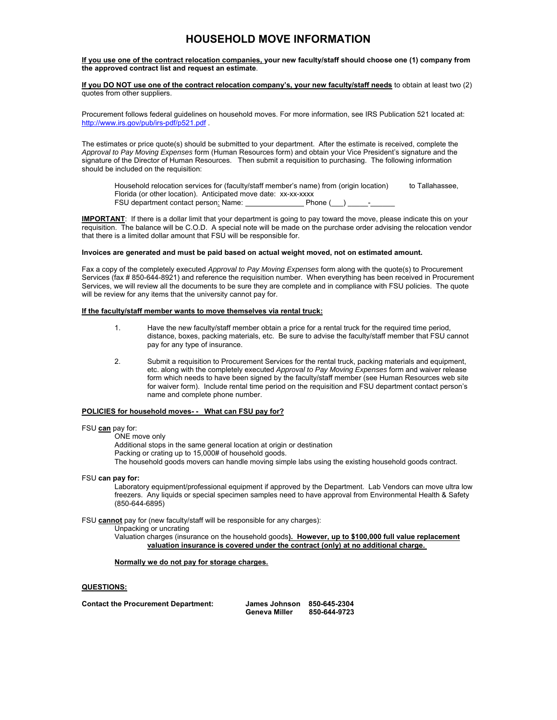# **HOUSEHOLD MOVE INFORMATION**

**If you use one of the contract relocation companies, your new faculty/staff should choose one (1) company from the approved contract list and request an estimate**.

**If you DO NOT use one of the contract relocation company's, your new faculty/staff needs** to obtain at least two (2) quotes from other suppliers.

Procurement follows federal guidelines on household moves. For more information, see IRS Publication 521 located at: http://www.irs.gov/pub/irs-pdf/p521.pdf .

The estimates or price quote(s) should be submitted to your department. After the estimate is received, complete the *Approval to Pay Moving Expenses* form (Human Resources form) and obtain your Vice President's signature and the signature of the Director of Human Resources. Then submit a requisition to purchasing. The following information should be included on the requisition:

Household relocation services for (faculty/staff member's name) from (origin location) to Tallahassee, Florida (or other location). Anticipated move date: xx-xx-xxxx FSU department contact person: Name: Phone ()

**IMPORTANT**: If there is a dollar limit that your department is going to pay toward the move, please indicate this on your requisition. The balance will be C.O.D. A special note will be made on the purchase order advising the relocation vendor that there is a limited dollar amount that FSU will be responsible for.

#### **Invoices are generated and must be paid based on actual weight moved, not on estimated amount.**

Fax a copy of the completely executed *Approval to Pay Moving Expenses* form along with the quote(s) to Procurement Services (fax # 850-644-8921) and reference the requisition number. When everything has been received in Procurement Services, we will review all the documents to be sure they are complete and in compliance with FSU policies. The quote will be review for any items that the university cannot pay for.

### **If the faculty/staff member wants to move themselves via rental truck:**

- 1. Have the new faculty/staff member obtain a price for a rental truck for the required time period, distance, boxes, packing materials, etc. Be sure to advise the faculty/staff member that FSU cannot pay for any type of insurance.
- 2. Submit a requisition to Procurement Services for the rental truck, packing materials and equipment, etc. along with the completely executed *Approval to Pay Moving Expenses* form and waiver release form which needs to have been signed by the faculty/staff member (see Human Resources web site for waiver form). Include rental time period on the requisition and FSU department contact person's name and complete phone number.

### **POLICIES for household moves- - What can FSU pay for?**

#### FSU **can** pay for:

ONE move only

 Additional stops in the same general location at origin or destination Packing or crating up to 15,000# of household goods. The household goods movers can handle moving simple labs using the existing household goods contract.

FSU **can pay for:** 

Laboratory equipment/professional equipment if approved by the Department. Lab Vendors can move ultra low freezers. Any liquids or special specimen samples need to have approval from Environmental Health & Safety (850-644-6895)

FSU **cannot** pay for (new faculty/staff will be responsible for any charges):

Unpacking or uncrating

Valuation charges (insurance on the household goods**). However, up to \$100,000 full value replacement valuation insurance is covered under the contract (only) at no additional charge.** 

**Normally we do not pay for storage charges.** 

#### **QUESTIONS:**

| <b>Contact the Procurement Department:</b> | <b>James Johnson</b> | 850-645-2304 |
|--------------------------------------------|----------------------|--------------|
|                                            | Geneva Miller        | 850-644-9723 |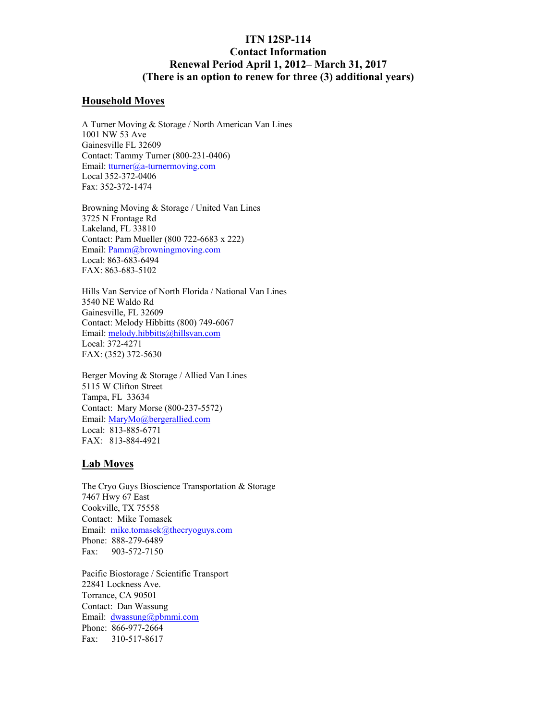# **ITN 12SP-114 Contact Information Renewal Period April 1, 2012– March 31, 2017 (There is an option to renew for three (3) additional years)**

### **Household Moves**

A Turner Moving & Storage / North American Van Lines 1001 NW 53 Ave Gainesville FL 32609 Contact: Tammy Turner (800-231-0406) Email: tturner@a-turnermoving.com Local 352-372-0406 Fax: 352-372-1474

Browning Moving & Storage / United Van Lines 3725 N Frontage Rd Lakeland, FL 33810 Contact: Pam Mueller (800 722-6683 x 222) Email: Pamm@browningmoving.com Local: 863-683-6494 FAX: 863-683-5102

Hills Van Service of North Florida / National Van Lines 3540 NE Waldo Rd Gainesville, FL 32609 Contact: Melody Hibbitts (800) 749-6067 Email: melody.hibbitts@hillsvan.com Local: 372-4271 FAX: (352) 372-5630

Berger Moving & Storage / Allied Van Lines 5115 W Clifton Street Tampa, FL 33634 Contact: Mary Morse (800-237-5572) Email: MaryMo@bergerallied.com Local: 813-885-6771 FAX: 813-884-4921

## **Lab Moves**

The Cryo Guys Bioscience Transportation & Storage 7467 Hwy 67 East Cookville, TX 75558 Contact: Mike Tomasek Email: mike.tomasek@thecryoguys.com Phone: 888-279-6489 Fax: 903-572-7150

Pacific Biostorage / Scientific Transport 22841 Lockness Ave. Torrance, CA 90501 Contact: Dan Wassung Email: dwassung@pbmmi.com Phone: 866-977-2664 Fax: 310-517-8617